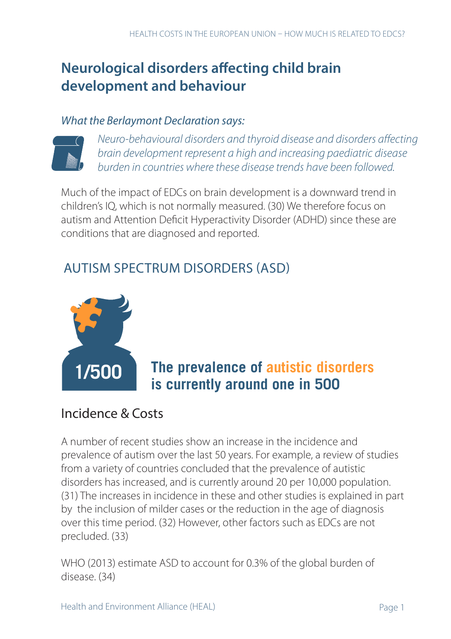# **Neurological disorders affecting child brain development and behaviour**

#### *What the Berlaymont Declaration says:*



*Neuro-behavioural disorders and thyroid disease and disorders affecting brain development represent a high and increasing paediatric disease burden in countries where these disease trends have been followed.* 

Much of the impact of EDCs on brain development is a downward trend in children's IQ, which is not normally measured. (30) We therefore focus on autism and Attention Deficit Hyperactivity Disorder (ADHD) since these are conditions that are diagnosed and reported.

## AUTISM SPECTRUM DISORDERS (ASD)



# **The prevalence of autistic disorders i i**s currently around one in 500

### Incidence & Costs

A number of recent studies show an increase in the incidence and prevalence of autism over the last 50 years. For example, a review of studies from a variety of countries concluded that the prevalence of autistic disorders has increased, and is currently around 20 per 10,000 population. (31) The increases in incidence in these and other studies is explained in part by the inclusion of milder cases or the reduction in the age of diagnosis over this time period. (32) However, other factors such as EDCs are not precluded. (33)

WHO (2013) estimate ASD to account for 0.3% of the global burden of disease. (34)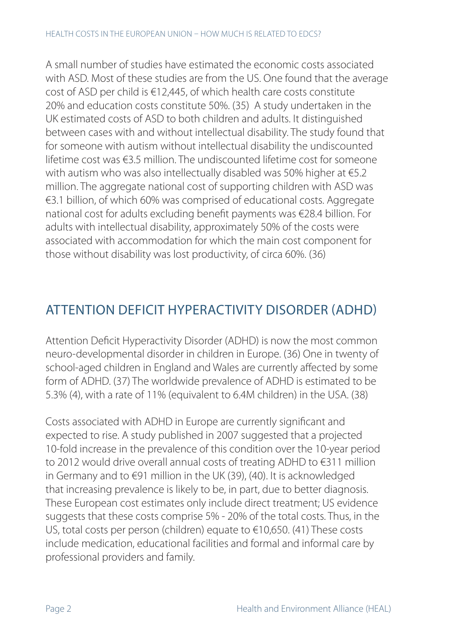A small number of studies have estimated the economic costs associated with ASD. Most of these studies are from the US. One found that the average cost of ASD per child is €12,445, of which health care costs constitute 20% and education costs constitute 50%. (35) A study undertaken in the UK estimated costs of ASD to both children and adults. It distinguished between cases with and without intellectual disability. The study found that for someone with autism without intellectual disability the undiscounted lifetime cost was €3.5 million. The undiscounted lifetime cost for someone with autism who was also intellectually disabled was 50% higher at €5.2 million. The aggregate national cost of supporting children with ASD was €3.1 billion, of which 60% was comprised of educational costs. Aggregate national cost for adults excluding benefit payments was €28.4 billion. For adults with intellectual disability, approximately 50% of the costs were associated with accommodation for which the main cost component for those without disability was lost productivity, of circa 60%. (36)

### ATTENTION DEFICIT HYPERACTIVITY DISORDER (ADHD)

Attention Deficit Hyperactivity Disorder (ADHD) is now the most common neuro-developmental disorder in children in Europe. (36) One in twenty of school-aged children in England and Wales are currently affected by some form of ADHD. (37) The worldwide prevalence of ADHD is estimated to be 5.3% (4), with a rate of 11% (equivalent to 6.4M children) in the USA. (38)

Costs associated with ADHD in Europe are currently significant and expected to rise. A study published in 2007 suggested that a projected 10-fold increase in the prevalence of this condition over the 10-year period to 2012 would drive overall annual costs of treating ADHD to €311 million in Germany and to €91 million in the UK (39), (40). It is acknowledged that increasing prevalence is likely to be, in part, due to better diagnosis. These European cost estimates only include direct treatment; US evidence suggests that these costs comprise 5% - 20% of the total costs. Thus, in the US, total costs per person (children) equate to €10,650. (41) These costs include medication, educational facilities and formal and informal care by professional providers and family.